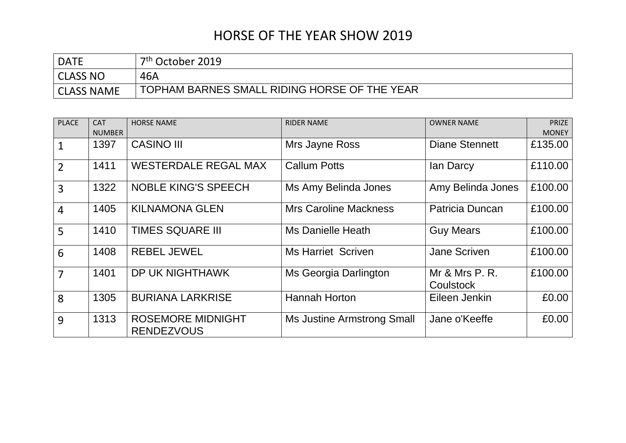## HORSE OF THE YEAR SHOW 2019

| <b>DATE</b>       | 7 <sup>th</sup> October 2019                 |
|-------------------|----------------------------------------------|
| CLASS NO          | 46A                                          |
| <b>CLASS NAME</b> | TOPHAM BARNES SMALL RIDING HORSE OF THE YEAR |

| <b>PLACE</b>   | <b>CAT</b>    | <b>HORSE NAME</b>                             | <b>RIDER NAME</b>            | <b>OWNER NAME</b>                  | <b>PRIZE</b> |
|----------------|---------------|-----------------------------------------------|------------------------------|------------------------------------|--------------|
|                | <b>NUMBER</b> |                                               |                              |                                    | <b>MONEY</b> |
| $\mathbf{1}$   | 1397          | <b>CASINO III</b>                             | Mrs Jayne Ross               | <b>Diane Stennett</b>              | £135.00      |
| $\overline{2}$ | 1411          | <b>WESTERDALE REGAL MAX</b>                   | <b>Callum Potts</b>          | lan Darcy                          | £110.00      |
| $\overline{3}$ | 1322          | <b>NOBLE KING'S SPEECH</b>                    | Ms Amy Belinda Jones         | Amy Belinda Jones                  | £100.00      |
| $\overline{4}$ | 1405          | <b>KILNAMONA GLEN</b>                         | <b>Mrs Caroline Mackness</b> | Patricia Duncan                    | £100.00      |
| 5              | 1410          | <b>TIMES SQUARE III</b>                       | <b>Ms Danielle Heath</b>     | <b>Guy Mears</b>                   | £100.00      |
| 6              | 1408          | <b>REBEL JEWEL</b>                            | <b>Ms Harriet Scriven</b>    | Jane Scriven                       | £100.00      |
| $\overline{7}$ | 1401          | DP UK NIGHTHAWK                               | Ms Georgia Darlington        | Mr & Mrs P. R.<br><b>Coulstock</b> | £100.00      |
| 8              | 1305          | <b>BURIANA LARKRISE</b>                       | <b>Hannah Horton</b>         | Eileen Jenkin                      | £0.00        |
| 9              | 1313          | <b>ROSEMORE MIDNIGHT</b><br><b>RENDEZVOUS</b> | Ms Justine Armstrong Small   | Jane o'Keeffe                      | £0.00        |